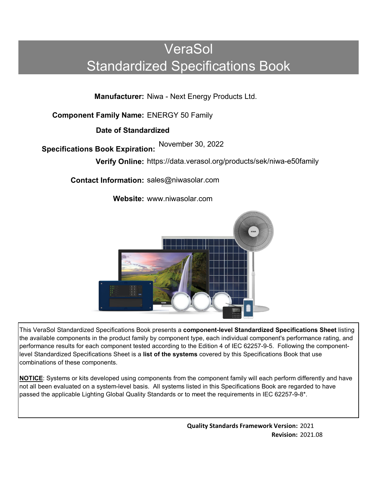# VeraSol Standardized Specifications Book

**Manufacturer:** Niwa - Next Energy Products Ltd.

**Component Family Name:** ENERGY 50 Family

**Date of Standardized**

**Specifications Book Expiration:** November <sup>3</sup>0, <sup>2022</sup>

**Verify Online:** https://data.verasol.org/products/sek/niwa-e50family

**Contact Information:** sales@niwasolar.com

**Website:** www.niwasolar.com



This VeraSol Standardized Specifications Book presents a **component-level Standardized Specifications Sheet** listing the available components in the product family by component type, each individual component's performance rating, and performance results for each component tested according to the Edition 4 of IEC 62257-9-5. Following the componentlevel Standardized Specifications Sheet is a **list of the systems** covered by this Specifications Book that use combinations of these components.

**NOTICE**: Systems or kits developed using components from the component family will each perform differently and have not all been evaluated on a system-level basis. All systems listed in this Specifications Book are regarded to have passed the applicable Lighting Global Quality Standards or to meet the requirements in IEC 62257-9-8\*.

> **Quality Standards Framework Version:** 2021 **Revision:** 2021.08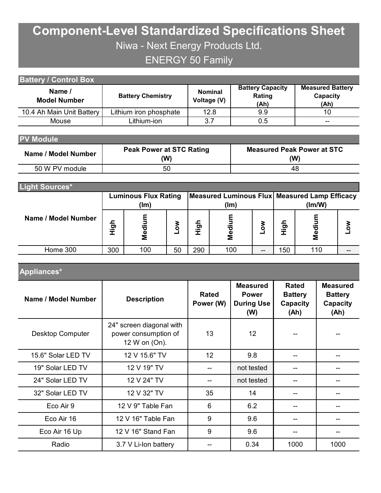## **Component-Level Standardized Specifications Sheet** Niwa - Next Energy Products Ltd. ENERGY 50 Family

| <b>Battery / Control Box</b>  |                          |                               |                                           |                                             |  |  |  |  |  |
|-------------------------------|--------------------------|-------------------------------|-------------------------------------------|---------------------------------------------|--|--|--|--|--|
| Name /<br><b>Model Number</b> | <b>Battery Chemistry</b> | <b>Nominal</b><br>Voltage (V) | <b>Battery Capacity</b><br>Rating<br>(Ah) | <b>Measured Battery</b><br>Capacity<br>(Ah) |  |  |  |  |  |
| 10.4 Ah Main Unit Battery     | Lithium iron phosphate   | 12.8                          | 9.9                                       | 10                                          |  |  |  |  |  |
| Mouse                         | _ithium-ion              | 3.7                           | 0.5                                       | $- -$                                       |  |  |  |  |  |

| <b>PV Module</b>    |                                        |                                          |  |  |  |  |  |  |  |
|---------------------|----------------------------------------|------------------------------------------|--|--|--|--|--|--|--|
| Name / Model Number | <b>Peak Power at STC Rating</b><br>(W) | <b>Measured Peak Power at STC</b><br>(W) |  |  |  |  |  |  |  |
| 50 W PV module      | 50                                     | 48                                       |  |  |  |  |  |  |  |

| Light Sources*      |             |                                     |    |      |             |    |                                                         |     |  |
|---------------------|-------------|-------------------------------------|----|------|-------------|----|---------------------------------------------------------|-----|--|
|                     |             | <b>Luminous Flux Rating</b><br>(lm) |    |      | (lm)        |    | Measured Luminous Flux Measured Lamp Efficacy<br>(lm/W) |     |  |
| Name / Model Number | <b>Aigh</b> | Mediur                              | š  | nigh | ε<br>Mediur |    | <b>High</b>                                             | ဥ္ပ |  |
| Home 300            | 300         | 100                                 | 50 | 290  | 100         | -- | 150                                                     | 110 |  |

| Name / Model Number     | Figh               | Medium<br><b>NoT</b>                                              |                                | High                      | Medium |                 | <b>NoT</b>                               | High         | Medium                             |                                                       | <b>NOT</b> |    |  |  |
|-------------------------|--------------------|-------------------------------------------------------------------|--------------------------------|---------------------------|--------|-----------------|------------------------------------------|--------------|------------------------------------|-------------------------------------------------------|------------|----|--|--|
| Home 300                | 300                | 100                                                               | 50                             | 290                       |        | 100<br>--       |                                          | 150          |                                    | 110                                                   |            |    |  |  |
| Appliances*             |                    |                                                                   |                                |                           |        |                 |                                          |              |                                    |                                                       |            |    |  |  |
| Name / Model Number     |                    | <b>Description</b>                                                |                                | <b>Rated</b><br>Power (W) |        | <b>Measured</b> | <b>Power</b><br><b>During Use</b><br>(W) | <b>Rated</b> | <b>Battery</b><br>Capacity<br>(Ah) | <b>Measured</b><br><b>Battery</b><br>Capacity<br>(Ah) |            |    |  |  |
| <b>Desktop Computer</b> |                    | 24" screen diagonal with<br>power consumption of<br>12 W on (On). |                                | 13                        | 12     |                 |                                          |              |                                    |                                                       |            |    |  |  |
| 15.6" Solar LED TV      |                    | 12 V 15.6" TV                                                     |                                |                           | 12     |                 | 9.8                                      |              | --                                 |                                                       |            |    |  |  |
| 19" Solar LED TV        | 12 V 19" TV        |                                                                   |                                |                           |        |                 | not tested                               | --           |                                    |                                                       |            |    |  |  |
| 24" Solar LED TV        | 12 V 24" TV        |                                                                   |                                |                           |        |                 | not tested                               |              | --                                 | --                                                    |            |    |  |  |
| 32" Solar LED TV        | 12 V 32" TV        |                                                                   |                                |                           |        |                 | 14                                       |              | --                                 |                                                       |            |    |  |  |
| Eco Air 9               | 12 V 9" Table Fan  |                                                                   |                                |                           |        |                 | 6.2                                      |              | --                                 | --                                                    |            |    |  |  |
| Eco Air 16              | 12 V 16" Table Fan |                                                                   |                                |                           |        |                 |                                          | 9            |                                    | 9.6                                                   |            | -- |  |  |
| Eco Air 16 Up           |                    |                                                                   | 9<br>9.6<br>12 V 16" Stand Fan |                           |        |                 |                                          |              |                                    |                                                       |            |    |  |  |
| Radio                   |                    | 3.7 V Li-Ion battery                                              |                                |                           |        | 0.34            |                                          |              | 1000                               |                                                       | 1000       |    |  |  |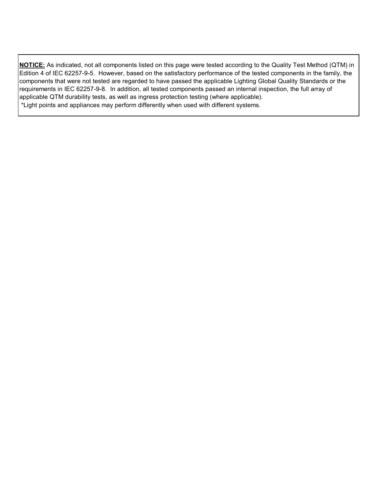**NOTICE:** As indicated, not all components listed on this page were tested according to the Quality Test Method (QTM) in Edition 4 of IEC 62257-9-5. However, based on the satisfactory performance of the tested components in the family, the components that were not tested are regarded to have passed the applicable Lighting Global Quality Standards or the requirements in IEC 62257-9-8. In addition, all tested components passed an internal inspection, the full array of applicable QTM durability tests, as well as ingress protection testing (where applicable). \*Light points and appliances may perform differently when used with different systems.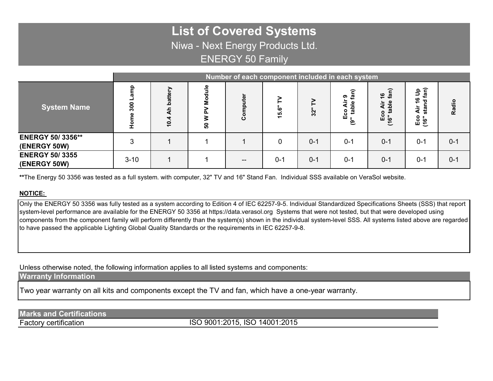### **List of Covered Systems** Niwa - Next Energy Products Ltd. ENERGY 50 Family

|                                          | Number of each component included in each system |                                  |                |                          |         |         |                                      |                                                |                                                          |         |
|------------------------------------------|--------------------------------------------------|----------------------------------|----------------|--------------------------|---------|---------|--------------------------------------|------------------------------------------------|----------------------------------------------------------|---------|
| <b>System Name</b>                       | ဠ<br>300<br>Φ<br>훈                               | battery<br>å<br>4<br>$\tilde{e}$ | ۹u<br><b>ვ</b> | ت                        | မာ      | 32      | r<br>თ<br>--<br>Φ<br>Eco<br>ුල<br>್ರ | ี่ีี<br>ត្វ ខ្<br>Ξ<br>₹<br>(16" ta<br>(16" ta | fan)<br>ء<br>ت<br>$\frac{6}{7}$<br>ᇃ<br>ই<br>Eco<br>(16" | Radio   |
| <b>ENERGY 50/ 3356**</b><br>(ENERGY 50W) | 3                                                |                                  |                |                          |         | $0 - 1$ | $0 - 1$                              | $0 - 1$                                        | $0 - 1$                                                  | $0 - 1$ |
| <b>ENERGY 50/3355</b><br>(ENERGY 50W)    | $3 - 10$                                         |                                  |                | $\overline{\phantom{m}}$ | $0 - 1$ | $0 - 1$ | $0 - 1$                              | $0 - 1$                                        | $0 - 1$                                                  | $0 - 1$ |

**\*\***The Energy 50 3356 was tested as a full system. with computer, 32" TV and 16" Stand Fan. Individual SSS available on VeraSol website.

#### **NOTICE:**

Only the ENERGY 50 3356 was fully tested as a system according to Edition 4 of IEC 62257-9-5. Individual Standardized Specifications Sheets (SSS) that report system-level performance are available for the ENERGY 50 3356 at https://data.verasol.org Systems that were not tested, but that were developed using components from the component family will perform differently than the system(s) shown in the individual system-level SSS. All systems listed above are regarded to have passed the applicable Lighting Global Quality Standards or the requirements in IEC 62257-9-8.

Unless otherwise noted, the following information applies to all listed systems and components:

#### **Warranty Information**

Two year warranty on all kits and components except the TV and fan, which have a one-year warranty.

#### **Marks and Certifications**

Factory certification

ISO 9001:2015, ISO 14001:2015